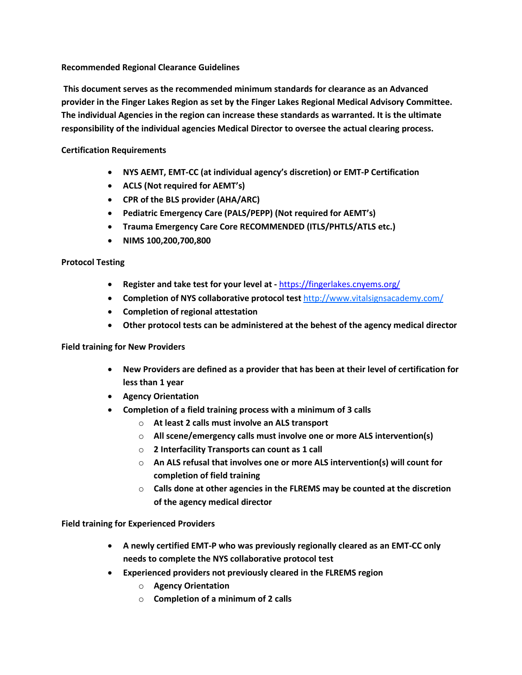## **Recommended Regional Clearance Guidelines**

**This document serves as the recommended minimum standards for clearance as an Advanced provider in the Finger Lakes Region as set by the Finger Lakes Regional Medical Advisory Committee. The individual Agencies in the region can increase these standards as warranted. It is the ultimate responsibility of the individual agencies Medical Director to oversee the actual clearing process.**

# **Certification Requirements**

- **NYS AEMT, EMT-CC (at individual agency's discretion) or EMT-P Certification**
- **ACLS (Not required for AEMT's)**
- **CPR of the BLS provider (AHA/ARC)**
- **Pediatric Emergency Care (PALS/PEPP) (Not required for AEMT's)**
- **Trauma Emergency Care Core RECOMMENDED (ITLS/PHTLS/ATLS etc.)**
- **NIMS 100,200,700,800**

## **Protocol Testing**

- **Register and take test for your level at -** <https://fingerlakes.cnyems.org/>
- **Completion of NYS collaborative protocol test** http://www.vitalsignsacademy.com/
- **Completion of regional attestation**
- **Other protocol tests can be administered at the behest of the agency medical director**

## **Field training for New Providers**

- **New Providers are defined as a provider that has been at their level of certification for less than 1 year**
- **Agency Orientation**
- **Completion of a field training process with a minimum of 3 calls**
	- o **At least 2 calls must involve an ALS transport**
	- o **All scene/emergency calls must involve one or more ALS intervention(s)**
	- o **2 Interfacility Transports can count as 1 call**
	- o **An ALS refusal that involves one or more ALS intervention(s) will count for completion of field training**
	- o **Calls done at other agencies in the FLREMS may be counted at the discretion of the agency medical director**

**Field training for Experienced Providers**

- **A newly certified EMT-P who was previously regionally cleared as an EMT-CC only needs to complete the NYS collaborative protocol test**
- **Experienced providers not previously cleared in the FLREMS region**
	- o **Agency Orientation**
	- o **Completion of a minimum of 2 calls**